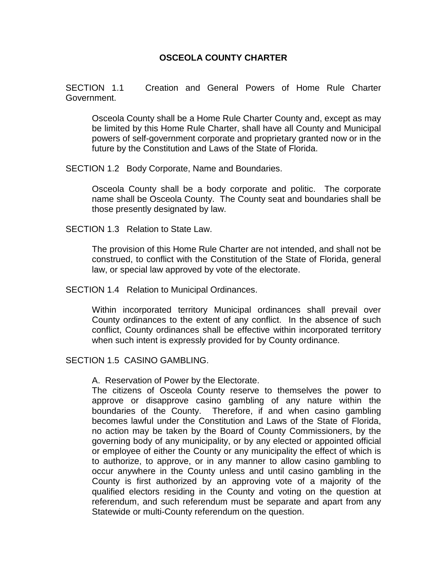# **OSCEOLA COUNTY CHARTER**

SECTION 1.1 Creation and General Powers of Home Rule Charter Government.

Osceola County shall be a Home Rule Charter County and, except as may be limited by this Home Rule Charter, shall have all County and Municipal powers of self-government corporate and proprietary granted now or in the future by the Constitution and Laws of the State of Florida.

SECTION 1.2 Body Corporate, Name and Boundaries.

Osceola County shall be a body corporate and politic. The corporate name shall be Osceola County. The County seat and boundaries shall be those presently designated by law.

SECTION 1.3 Relation to State Law.

The provision of this Home Rule Charter are not intended, and shall not be construed, to conflict with the Constitution of the State of Florida, general law, or special law approved by vote of the electorate.

SECTION 1.4 Relation to Municipal Ordinances.

Within incorporated territory Municipal ordinances shall prevail over County ordinances to the extent of any conflict. In the absence of such conflict, County ordinances shall be effective within incorporated territory when such intent is expressly provided for by County ordinance.

#### SECTION 1.5 CASINO GAMBLING.

A. Reservation of Power by the Electorate.

The citizens of Osceola County reserve to themselves the power to approve or disapprove casino gambling of any nature within the boundaries of the County. Therefore, if and when casino gambling becomes lawful under the Constitution and Laws of the State of Florida, no action may be taken by the Board of County Commissioners, by the governing body of any municipality, or by any elected or appointed official or employee of either the County or any municipality the effect of which is to authorize, to approve, or in any manner to allow casino gambling to occur anywhere in the County unless and until casino gambling in the County is first authorized by an approving vote of a majority of the qualified electors residing in the County and voting on the question at referendum, and such referendum must be separate and apart from any Statewide or multi-County referendum on the question.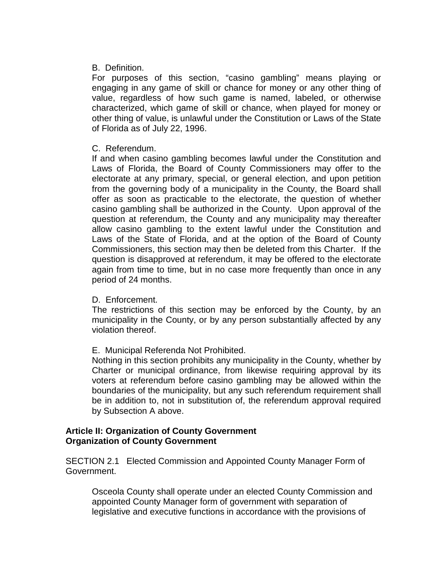## B. Definition.

For purposes of this section, "casino gambling" means playing or engaging in any game of skill or chance for money or any other thing of value, regardless of how such game is named, labeled, or otherwise characterized, which game of skill or chance, when played for money or other thing of value, is unlawful under the Constitution or Laws of the State of Florida as of July 22, 1996.

### C. Referendum.

If and when casino gambling becomes lawful under the Constitution and Laws of Florida, the Board of County Commissioners may offer to the electorate at any primary, special, or general election, and upon petition from the governing body of a municipality in the County, the Board shall offer as soon as practicable to the electorate, the question of whether casino gambling shall be authorized in the County. Upon approval of the question at referendum, the County and any municipality may thereafter allow casino gambling to the extent lawful under the Constitution and Laws of the State of Florida, and at the option of the Board of County Commissioners, this section may then be deleted from this Charter. If the question is disapproved at referendum, it may be offered to the electorate again from time to time, but in no case more frequently than once in any period of 24 months.

#### D. Enforcement.

The restrictions of this section may be enforced by the County, by an municipality in the County, or by any person substantially affected by any violation thereof.

# E. Municipal Referenda Not Prohibited.

Nothing in this section prohibits any municipality in the County, whether by Charter or municipal ordinance, from likewise requiring approval by its voters at referendum before casino gambling may be allowed within the boundaries of the municipality, but any such referendum requirement shall be in addition to, not in substitution of, the referendum approval required by Subsection A above.

#### **Article II: Organization of County Government Organization of County Government**

SECTION 2.1 Elected Commission and Appointed County Manager Form of Government.

Osceola County shall operate under an elected County Commission and appointed County Manager form of government with separation of legislative and executive functions in accordance with the provisions of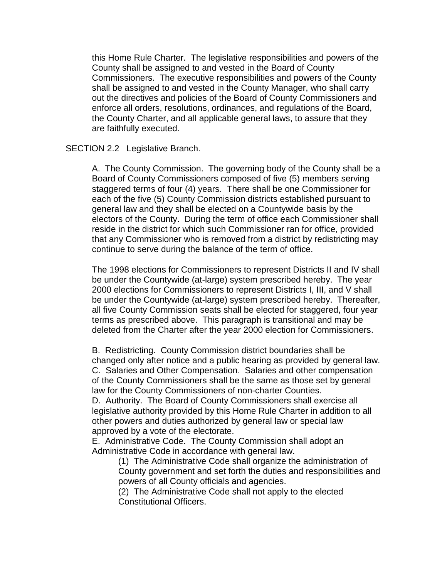this Home Rule Charter. The legislative responsibilities and powers of the County shall be assigned to and vested in the Board of County Commissioners. The executive responsibilities and powers of the County shall be assigned to and vested in the County Manager, who shall carry out the directives and policies of the Board of County Commissioners and enforce all orders, resolutions, ordinances, and regulations of the Board, the County Charter, and all applicable general laws, to assure that they are faithfully executed.

#### SECTION 2.2 Legislative Branch.

A. The County Commission. The governing body of the County shall be a Board of County Commissioners composed of five (5) members serving staggered terms of four (4) years. There shall be one Commissioner for each of the five (5) County Commission districts established pursuant to general law and they shall be elected on a Countywide basis by the electors of the County. During the term of office each Commissioner shall reside in the district for which such Commissioner ran for office, provided that any Commissioner who is removed from a district by redistricting may continue to serve during the balance of the term of office.

The 1998 elections for Commissioners to represent Districts II and IV shall be under the Countywide (at-large) system prescribed hereby. The year 2000 elections for Commissioners to represent Districts I, III, and V shall be under the Countywide (at-large) system prescribed hereby. Thereafter, all five County Commission seats shall be elected for staggered, four year terms as prescribed above. This paragraph is transitional and may be deleted from the Charter after the year 2000 election for Commissioners.

B. Redistricting. County Commission district boundaries shall be changed only after notice and a public hearing as provided by general law. C. Salaries and Other Compensation. Salaries and other compensation of the County Commissioners shall be the same as those set by general law for the County Commissioners of non-charter Counties.

D. Authority. The Board of County Commissioners shall exercise all legislative authority provided by this Home Rule Charter in addition to all other powers and duties authorized by general law or special law approved by a vote of the electorate.

E. Administrative Code. The County Commission shall adopt an Administrative Code in accordance with general law.

(1) The Administrative Code shall organize the administration of County government and set forth the duties and responsibilities and powers of all County officials and agencies.

(2) The Administrative Code shall not apply to the elected Constitutional Officers.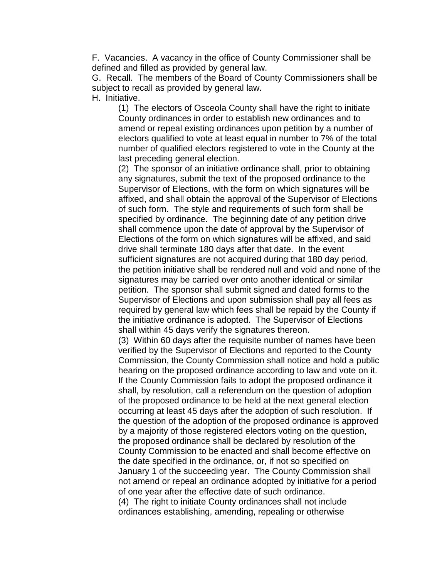F. Vacancies. A vacancy in the office of County Commissioner shall be defined and filled as provided by general law.

G. Recall. The members of the Board of County Commissioners shall be subject to recall as provided by general law. H. Initiative.

(1) The electors of Osceola County shall have the right to initiate County ordinances in order to establish new ordinances and to amend or repeal existing ordinances upon petition by a number of electors qualified to vote at least equal in number to 7% of the total number of qualified electors registered to vote in the County at the last preceding general election.

(2) The sponsor of an initiative ordinance shall, prior to obtaining any signatures, submit the text of the proposed ordinance to the Supervisor of Elections, with the form on which signatures will be affixed, and shall obtain the approval of the Supervisor of Elections of such form. The style and requirements of such form shall be specified by ordinance. The beginning date of any petition drive shall commence upon the date of approval by the Supervisor of Elections of the form on which signatures will be affixed, and said drive shall terminate 180 days after that date. In the event sufficient signatures are not acquired during that 180 day period, the petition initiative shall be rendered null and void and none of the signatures may be carried over onto another identical or similar petition. The sponsor shall submit signed and dated forms to the Supervisor of Elections and upon submission shall pay all fees as required by general law which fees shall be repaid by the County if the initiative ordinance is adopted. The Supervisor of Elections shall within 45 days verify the signatures thereon.

(3) Within 60 days after the requisite number of names have been verified by the Supervisor of Elections and reported to the County Commission, the County Commission shall notice and hold a public hearing on the proposed ordinance according to law and vote on it. If the County Commission fails to adopt the proposed ordinance it shall, by resolution, call a referendum on the question of adoption of the proposed ordinance to be held at the next general election occurring at least 45 days after the adoption of such resolution. If the question of the adoption of the proposed ordinance is approved by a majority of those registered electors voting on the question, the proposed ordinance shall be declared by resolution of the County Commission to be enacted and shall become effective on the date specified in the ordinance, or, if not so specified on January 1 of the succeeding year. The County Commission shall not amend or repeal an ordinance adopted by initiative for a period of one year after the effective date of such ordinance. (4) The right to initiate County ordinances shall not include

ordinances establishing, amending, repealing or otherwise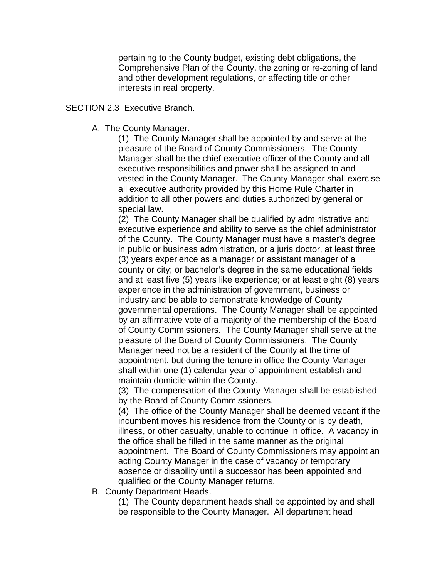pertaining to the County budget, existing debt obligations, the Comprehensive Plan of the County, the zoning or re-zoning of land and other development regulations, or affecting title or other interests in real property.

#### SECTION 2.3 Executive Branch.

A. The County Manager.

(1) The County Manager shall be appointed by and serve at the pleasure of the Board of County Commissioners. The County Manager shall be the chief executive officer of the County and all executive responsibilities and power shall be assigned to and vested in the County Manager. The County Manager shall exercise all executive authority provided by this Home Rule Charter in addition to all other powers and duties authorized by general or special law.

(2) The County Manager shall be qualified by administrative and executive experience and ability to serve as the chief administrator of the County. The County Manager must have a master's degree in public or business administration, or a juris doctor, at least three (3) years experience as a manager or assistant manager of a county or city; or bachelor's degree in the same educational fields and at least five (5) years like experience; or at least eight (8) years experience in the administration of government, business or industry and be able to demonstrate knowledge of County governmental operations. The County Manager shall be appointed by an affirmative vote of a majority of the membership of the Board of County Commissioners. The County Manager shall serve at the pleasure of the Board of County Commissioners. The County Manager need not be a resident of the County at the time of appointment, but during the tenure in office the County Manager shall within one (1) calendar year of appointment establish and maintain domicile within the County.

(3) The compensation of the County Manager shall be established by the Board of County Commissioners.

(4) The office of the County Manager shall be deemed vacant if the incumbent moves his residence from the County or is by death, illness, or other casualty, unable to continue in office. A vacancy in the office shall be filled in the same manner as the original appointment. The Board of County Commissioners may appoint an acting County Manager in the case of vacancy or temporary absence or disability until a successor has been appointed and qualified or the County Manager returns.

B. County Department Heads.

(1) The County department heads shall be appointed by and shall be responsible to the County Manager. All department head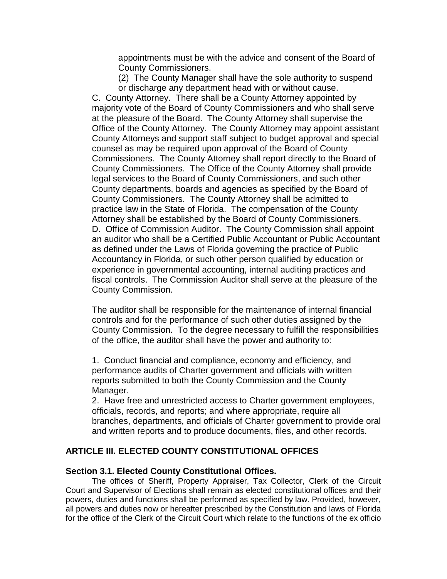appointments must be with the advice and consent of the Board of County Commissioners.

(2) The County Manager shall have the sole authority to suspend or discharge any department head with or without cause.

C. County Attorney. There shall be a County Attorney appointed by majority vote of the Board of County Commissioners and who shall serve at the pleasure of the Board. The County Attorney shall supervise the Office of the County Attorney. The County Attorney may appoint assistant County Attorneys and support staff subject to budget approval and special counsel as may be required upon approval of the Board of County Commissioners. The County Attorney shall report directly to the Board of County Commissioners. The Office of the County Attorney shall provide legal services to the Board of County Commissioners, and such other County departments, boards and agencies as specified by the Board of County Commissioners. The County Attorney shall be admitted to practice law in the State of Florida. The compensation of the County Attorney shall be established by the Board of County Commissioners. D. Office of Commission Auditor. The County Commission shall appoint an auditor who shall be a Certified Public Accountant or Public Accountant as defined under the Laws of Florida governing the practice of Public Accountancy in Florida, or such other person qualified by education or experience in governmental accounting, internal auditing practices and fiscal controls. The Commission Auditor shall serve at the pleasure of the County Commission.

The auditor shall be responsible for the maintenance of internal financial controls and for the performance of such other duties assigned by the County Commission. To the degree necessary to fulfill the responsibilities of the office, the auditor shall have the power and authority to:

1. Conduct financial and compliance, economy and efficiency, and performance audits of Charter government and officials with written reports submitted to both the County Commission and the County Manager.

2. Have free and unrestricted access to Charter government employees, officials, records, and reports; and where appropriate, require all branches, departments, and officials of Charter government to provide oral and written reports and to produce documents, files, and other records.

## **ARTICLE III. ELECTED COUNTY CONSTITUTIONAL OFFICES**

#### **Section 3.1. Elected County Constitutional Offices.**

The offices of Sheriff, Property Appraiser, Tax Collector, Clerk of the Circuit Court and Supervisor of Elections shall remain as elected constitutional offices and their powers, duties and functions shall be performed as specified by law. Provided, however, all powers and duties now or hereafter prescribed by the Constitution and laws of Florida for the office of the Clerk of the Circuit Court which relate to the functions of the ex officio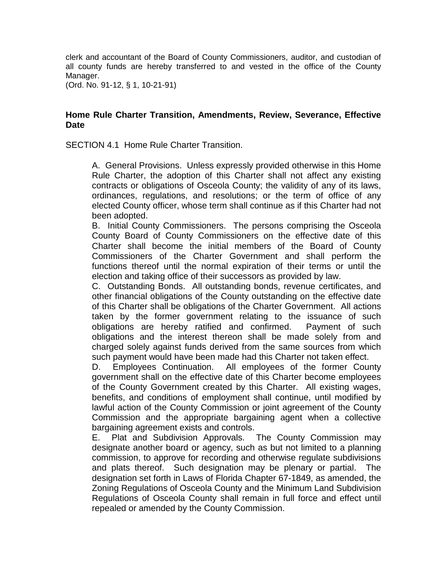clerk and accountant of the Board of County Commissioners, auditor, and custodian of all county funds are hereby transferred to and vested in the office of the County Manager.

(Ord. No. 91-12, § 1, 10-21-91)

## **Home Rule Charter Transition, Amendments, Review, Severance, Effective Date**

SECTION 4.1 Home Rule Charter Transition.

A. General Provisions. Unless expressly provided otherwise in this Home Rule Charter, the adoption of this Charter shall not affect any existing contracts or obligations of Osceola County; the validity of any of its laws, ordinances, regulations, and resolutions; or the term of office of any elected County officer, whose term shall continue as if this Charter had not been adopted.

B. Initial County Commissioners. The persons comprising the Osceola County Board of County Commissioners on the effective date of this Charter shall become the initial members of the Board of County Commissioners of the Charter Government and shall perform the functions thereof until the normal expiration of their terms or until the election and taking office of their successors as provided by law.

C. Outstanding Bonds. All outstanding bonds, revenue certificates, and other financial obligations of the County outstanding on the effective date of this Charter shall be obligations of the Charter Government. All actions taken by the former government relating to the issuance of such obligations are hereby ratified and confirmed. Payment of such obligations and the interest thereon shall be made solely from and charged solely against funds derived from the same sources from which such payment would have been made had this Charter not taken effect.

D. Employees Continuation. All employees of the former County government shall on the effective date of this Charter become employees of the County Government created by this Charter. All existing wages, benefits, and conditions of employment shall continue, until modified by lawful action of the County Commission or joint agreement of the County Commission and the appropriate bargaining agent when a collective bargaining agreement exists and controls.

E. Plat and Subdivision Approvals. The County Commission may designate another board or agency, such as but not limited to a planning commission, to approve for recording and otherwise regulate subdivisions and plats thereof. Such designation may be plenary or partial. The designation set forth in Laws of Florida Chapter 67-1849, as amended, the Zoning Regulations of Osceola County and the Minimum Land Subdivision Regulations of Osceola County shall remain in full force and effect until repealed or amended by the County Commission.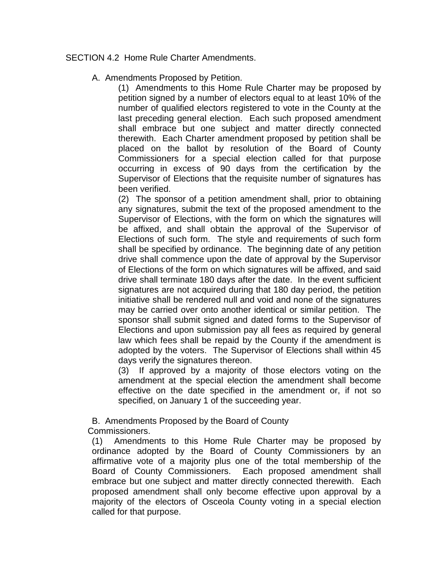SECTION 4.2 Home Rule Charter Amendments.

# A. Amendments Proposed by Petition.

(1) Amendments to this Home Rule Charter may be proposed by petition signed by a number of electors equal to at least 10% of the number of qualified electors registered to vote in the County at the last preceding general election. Each such proposed amendment shall embrace but one subject and matter directly connected therewith. Each Charter amendment proposed by petition shall be placed on the ballot by resolution of the Board of County Commissioners for a special election called for that purpose occurring in excess of 90 days from the certification by the Supervisor of Elections that the requisite number of signatures has been verified.

(2) The sponsor of a petition amendment shall, prior to obtaining any signatures, submit the text of the proposed amendment to the Supervisor of Elections, with the form on which the signatures will be affixed, and shall obtain the approval of the Supervisor of Elections of such form. The style and requirements of such form shall be specified by ordinance. The beginning date of any petition drive shall commence upon the date of approval by the Supervisor of Elections of the form on which signatures will be affixed, and said drive shall terminate 180 days after the date. In the event sufficient signatures are not acquired during that 180 day period, the petition initiative shall be rendered null and void and none of the signatures may be carried over onto another identical or similar petition. The sponsor shall submit signed and dated forms to the Supervisor of Elections and upon submission pay all fees as required by general law which fees shall be repaid by the County if the amendment is adopted by the voters. The Supervisor of Elections shall within 45 days verify the signatures thereon.

(3) If approved by a majority of those electors voting on the amendment at the special election the amendment shall become effective on the date specified in the amendment or, if not so specified, on January 1 of the succeeding year.

B. Amendments Proposed by the Board of County Commissioners.

(1) Amendments to this Home Rule Charter may be proposed by ordinance adopted by the Board of County Commissioners by an affirmative vote of a majority plus one of the total membership of the Board of County Commissioners. Each proposed amendment shall embrace but one subject and matter directly connected therewith. Each proposed amendment shall only become effective upon approval by a majority of the electors of Osceola County voting in a special election called for that purpose.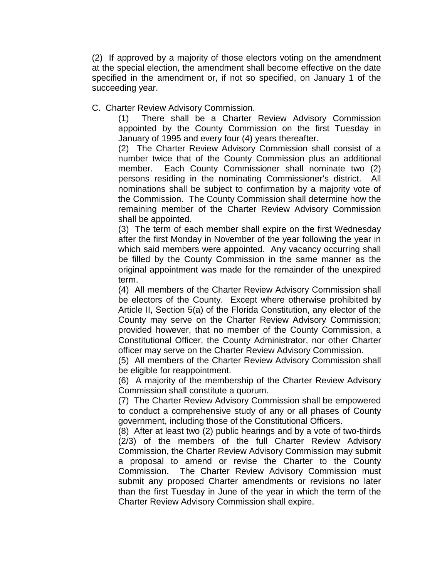(2) If approved by a majority of those electors voting on the amendment at the special election, the amendment shall become effective on the date specified in the amendment or, if not so specified, on January 1 of the succeeding year.

C. Charter Review Advisory Commission.

(1) There shall be a Charter Review Advisory Commission appointed by the County Commission on the first Tuesday in January of 1995 and every four (4) years thereafter.

(2) The Charter Review Advisory Commission shall consist of a number twice that of the County Commission plus an additional member. Each County Commissioner shall nominate two (2) persons residing in the nominating Commissioner's district. All nominations shall be subject to confirmation by a majority vote of the Commission. The County Commission shall determine how the remaining member of the Charter Review Advisory Commission shall be appointed.

(3) The term of each member shall expire on the first Wednesday after the first Monday in November of the year following the year in which said members were appointed. Any vacancy occurring shall be filled by the County Commission in the same manner as the original appointment was made for the remainder of the unexpired term.

(4) All members of the Charter Review Advisory Commission shall be electors of the County. Except where otherwise prohibited by Article II, Section 5(a) of the Florida Constitution, any elector of the County may serve on the Charter Review Advisory Commission; provided however, that no member of the County Commission, a Constitutional Officer, the County Administrator, nor other Charter officer may serve on the Charter Review Advisory Commission.

(5) All members of the Charter Review Advisory Commission shall be eligible for reappointment.

(6) A majority of the membership of the Charter Review Advisory Commission shall constitute a quorum.

(7) The Charter Review Advisory Commission shall be empowered to conduct a comprehensive study of any or all phases of County government, including those of the Constitutional Officers.

(8) After at least two (2) public hearings and by a vote of two-thirds (2/3) of the members of the full Charter Review Advisory Commission, the Charter Review Advisory Commission may submit a proposal to amend or revise the Charter to the County Commission. The Charter Review Advisory Commission must submit any proposed Charter amendments or revisions no later than the first Tuesday in June of the year in which the term of the Charter Review Advisory Commission shall expire.